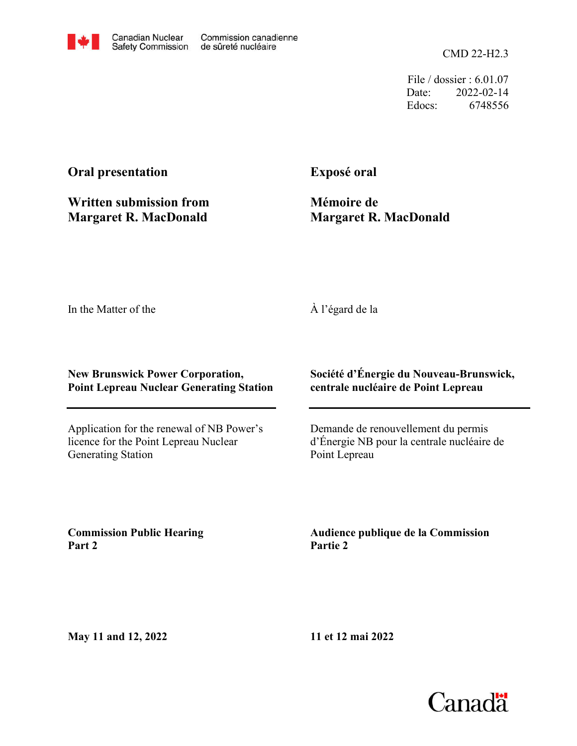CMD 22-H2.3

File / dossier : 6.01.07 Date: 2022-02-14 Edocs: 6748556

## **Oral presentation**

**Written submission from Margaret R. MacDonald**

**Exposé oral**

**Mémoire de Margaret R. MacDonald**

In the Matter of the

## À l'égard de la

## **New Brunswick Power Corporation, Point Lepreau Nuclear Generating Station**

Application for the renewal of NB Power's licence for the Point Lepreau Nuclear Generating Station

**Société d'Énergie du Nouveau-Brunswick, centrale nucléaire de Point Lepreau**

Demande de renouvellement du permis d'Énergie NB pour la centrale nucléaire de Point Lepreau

**Commission Public Hearing Part 2**

**Audience publique de la Commission Partie 2**

**May 11 and 12, 2022**

**11 et 12 mai 2022**

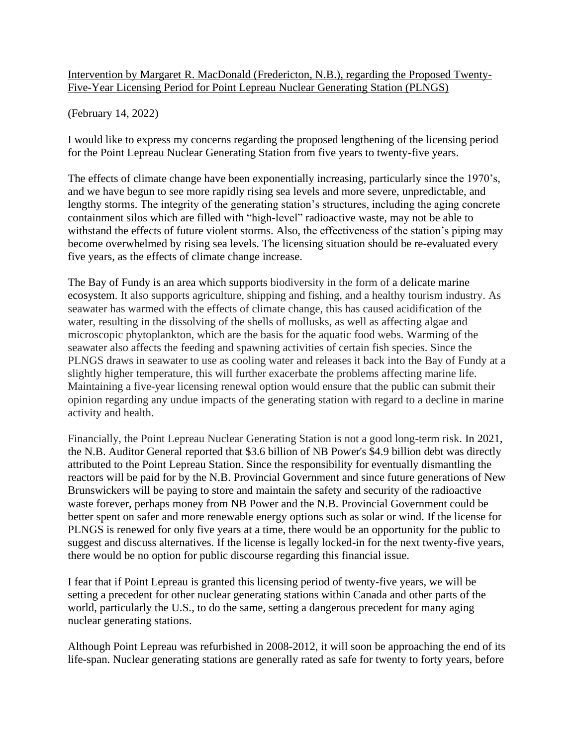Intervention by Margaret R. MacDonald (Fredericton, N.B.), regarding the Proposed Twenty-Five-Year Licensing Period for Point Lepreau Nuclear Generating Station (PLNGS)

(February 14, 2022)

I would like to express my concerns regarding the proposed lengthening of the licensing period for the Point Lepreau Nuclear Generating Station from five years to twenty-five years.

The effects of climate change have been exponentially increasing, particularly since the 1970's, and we have begun to see more rapidly rising sea levels and more severe, unpredictable, and lengthy storms. The integrity of the generating station's structures, including the aging concrete containment silos which are filled with "high-level" radioactive waste, may not be able to withstand the effects of future violent storms. Also, the effectiveness of the station's piping may become overwhelmed by rising sea levels. The licensing situation should be re-evaluated every five years, as the effects of climate change increase.

The Bay of Fundy is an area which supports biodiversity in the form of a delicate marine ecosystem. It also supports agriculture, shipping and fishing, and a healthy tourism industry. As seawater has warmed with the effects of climate change, this has caused acidification of the water, resulting in the dissolving of the shells of mollusks, as well as affecting algae and microscopic phytoplankton, which are the basis for the aquatic food webs. Warming of the seawater also affects the feeding and spawning activities of certain fish species. Since the PLNGS draws in seawater to use as cooling water and releases it back into the Bay of Fundy at a slightly higher temperature, this will further exacerbate the problems affecting marine life. Maintaining a five-year licensing renewal option would ensure that the public can submit their opinion regarding any undue impacts of the generating station with regard to a decline in marine activity and health.

Financially, the Point Lepreau Nuclear Generating Station is not a good long-term risk. In 2021, the N.B. Auditor General reported that \$3.6 billion of NB Power's \$4.9 billion debt was directly attributed to the Point Lepreau Station. Since the responsibility for eventually dismantling the reactors will be paid for by the N.B. Provincial Government and since future generations of New Brunswickers will be paying to store and maintain the safety and security of the radioactive waste forever, perhaps money from NB Power and the N.B. Provincial Government could be better spent on safer and more renewable energy options such as solar or wind. If the license for PLNGS is renewed for only five years at a time, there would be an opportunity for the public to suggest and discuss alternatives. If the license is legally locked-in for the next twenty-five years, there would be no option for public discourse regarding this financial issue.

I fear that if Point Lepreau is granted this licensing period of twenty-five years, we will be setting a precedent for other nuclear generating stations within Canada and other parts of the world, particularly the U.S., to do the same, setting a dangerous precedent for many aging nuclear generating stations.

Although Point Lepreau was refurbished in 2008-2012, it will soon be approaching the end of its life-span. Nuclear generating stations are generally rated as safe for twenty to forty years, before